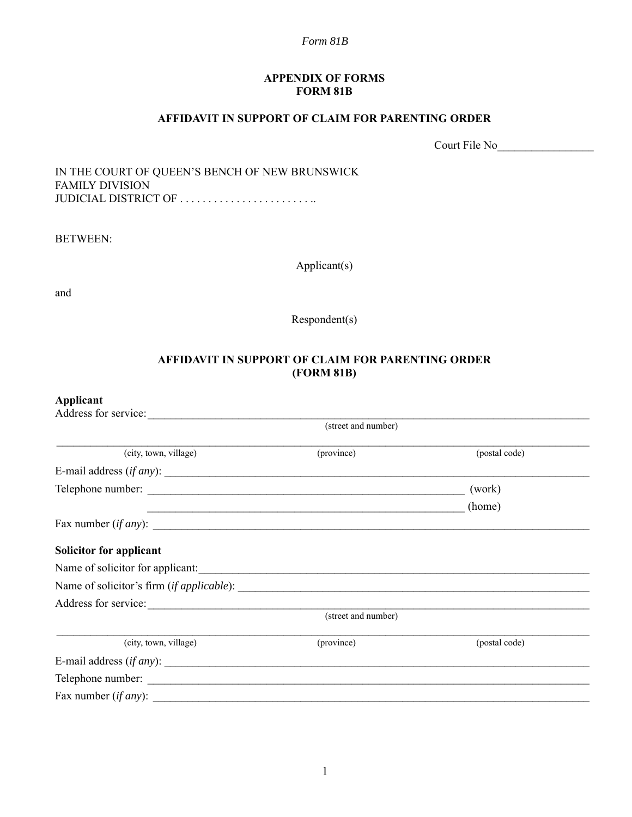### **APPENDIX OF FORMS FORM 81B**

### **AFFIDAVIT IN SUPPORT OF CLAIM FOR PARENTING ORDER**

Court File No\_\_\_\_\_\_\_\_\_\_\_\_\_\_\_\_\_

IN THE COURT OF QUEEN'S BENCH OF NEW BRUNSWICK FAMILY DIVISION JUDICIAL DISTRICT OF ...........................

BETWEEN:

Applicant(s)

and

Respondent(s)

## **AFFIDAVIT IN SUPPORT OF CLAIM FOR PARENTING ORDER (FORM 81B)**

## **Applicant**

| Address for service:             |                     |               |
|----------------------------------|---------------------|---------------|
|                                  | (street and number) |               |
| (city, town, village)            | (province)          | (postal code) |
| E-mail address $(if any)$ :      |                     |               |
|                                  |                     | (work)        |
|                                  |                     | (home)        |
| Fax number $(if any)$ :          |                     |               |
| Solicitor for applicant          |                     |               |
| Name of solicitor for applicant: |                     |               |
|                                  |                     |               |
|                                  |                     |               |
|                                  | (street and number) |               |
| (city, town, village)            | (province)          | (postal code) |
| E-mail address $(if any)$ :      |                     |               |
|                                  |                     |               |
| Fax number $(if any):$           |                     |               |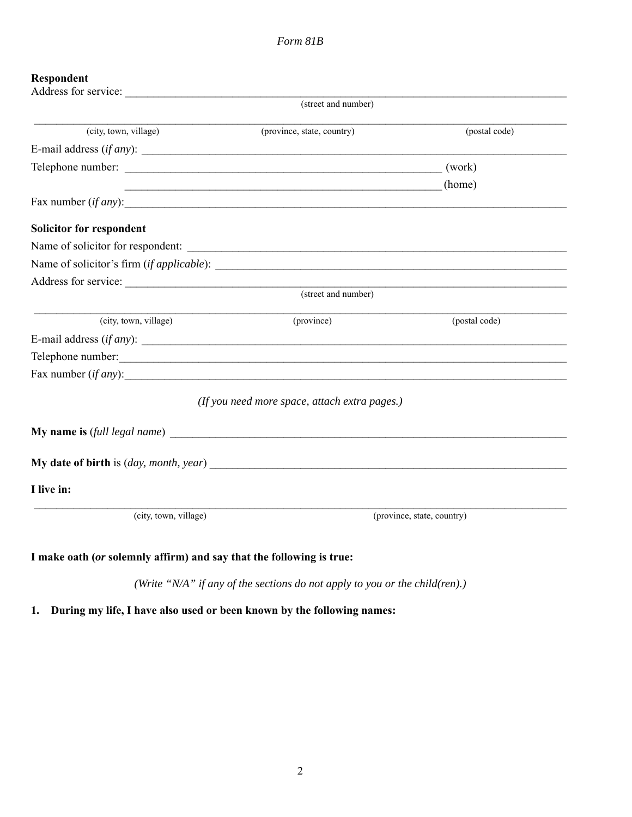# **Respondent**

|                                 | (street and number)                                              |                            |
|---------------------------------|------------------------------------------------------------------|----------------------------|
| (city, town, village)           | (province, state, country)                                       | (postal code)              |
| E-mail address $(if any)$ :     |                                                                  |                            |
|                                 |                                                                  | (work)                     |
|                                 | <u> 1989 - Jan James James Barnett, fransk politik (d. 1989)</u> | (home)                     |
|                                 | Fax number $(if any)$ :                                          |                            |
| <b>Solicitor for respondent</b> |                                                                  |                            |
|                                 |                                                                  |                            |
|                                 |                                                                  |                            |
|                                 |                                                                  |                            |
|                                 | (street and number)                                              |                            |
| (city, town, village)           | (province)                                                       | (postal code)              |
|                                 | E-mail address $(if any)$ :                                      |                            |
|                                 | Telephone number:                                                |                            |
|                                 | Fax number $(if any)$ :                                          |                            |
|                                 | (If you need more space, attach extra pages.)                    |                            |
|                                 |                                                                  |                            |
|                                 |                                                                  |                            |
| I live in:                      |                                                                  |                            |
| (city, town, village)           |                                                                  | (province, state, country) |
|                                 |                                                                  |                            |

## **I make oath (***or* **solemnly affirm) and say that the following is true:**

*(Write "N/A" if any of the sections do not apply to you or the child(ren).)*

**1. During my life, I have also used or been known by the following names:**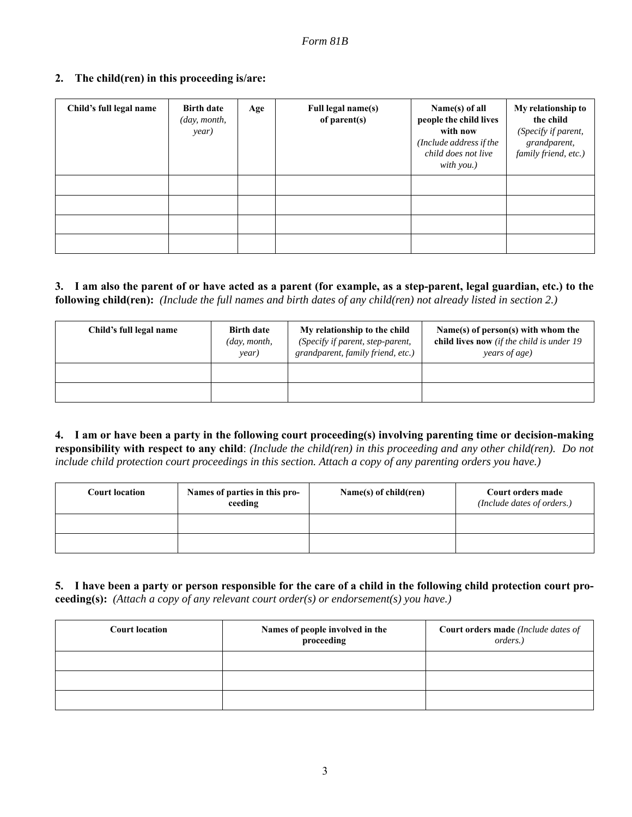## **2. The child(ren) in this proceeding is/are:**

| Child's full legal name | <b>Birth date</b><br>(day, month,<br>year) | Age | Full legal name(s)<br>of parent(s) | Name(s) of all<br>people the child lives<br>with now<br>(Include address if the<br>child does not live<br>with you.) | My relationship to<br>the child<br>(Specify if parent,<br>grandparent,<br>family friend, etc.) |
|-------------------------|--------------------------------------------|-----|------------------------------------|----------------------------------------------------------------------------------------------------------------------|------------------------------------------------------------------------------------------------|
|                         |                                            |     |                                    |                                                                                                                      |                                                                                                |
|                         |                                            |     |                                    |                                                                                                                      |                                                                                                |
|                         |                                            |     |                                    |                                                                                                                      |                                                                                                |
|                         |                                            |     |                                    |                                                                                                                      |                                                                                                |

## **3. I am also the parent of or have acted as a parent (for example, as a step-parent, legal guardian, etc.) to the following child(ren):** *(Include the full names and birth dates of any child(ren) not already listed in section 2.)*

| Child's full legal name | <b>Birth date</b><br>$\langle \textit{day}, \textit{month}, \rangle$<br>year) | My relationship to the child<br>(Specify if parent, step-parent,<br>grandparent, family friend, etc.) | Name(s) of person(s) with whom the<br>child lives now (if the child is under $19$<br>years of age) |
|-------------------------|-------------------------------------------------------------------------------|-------------------------------------------------------------------------------------------------------|----------------------------------------------------------------------------------------------------|
|                         |                                                                               |                                                                                                       |                                                                                                    |
|                         |                                                                               |                                                                                                       |                                                                                                    |

**4. I am or have been a party in the following court proceeding(s) involving parenting time or decision-making responsibility with respect to any child**: *(Include the child(ren) in this proceeding and any other child(ren). Do not include child protection court proceedings in this section. Attach a copy of any parenting orders you have.)*

| <b>Court location</b> | Names of parties in this pro-<br>ceeding | Name(s) of $child(ren)$ | Court orders made<br>(Include dates of orders.) |
|-----------------------|------------------------------------------|-------------------------|-------------------------------------------------|
|                       |                                          |                         |                                                 |
|                       |                                          |                         |                                                 |

## **5. I have been a party or person responsible for the care of a child in the following child protection court proceeding(s):** *(Attach a copy of any relevant court order(s) or endorsement(s) you have.)*

| <b>Court location</b> | Names of people involved in the<br>proceeding | <b>Court orders made</b> (Include dates of<br>orders.) |
|-----------------------|-----------------------------------------------|--------------------------------------------------------|
|                       |                                               |                                                        |
|                       |                                               |                                                        |
|                       |                                               |                                                        |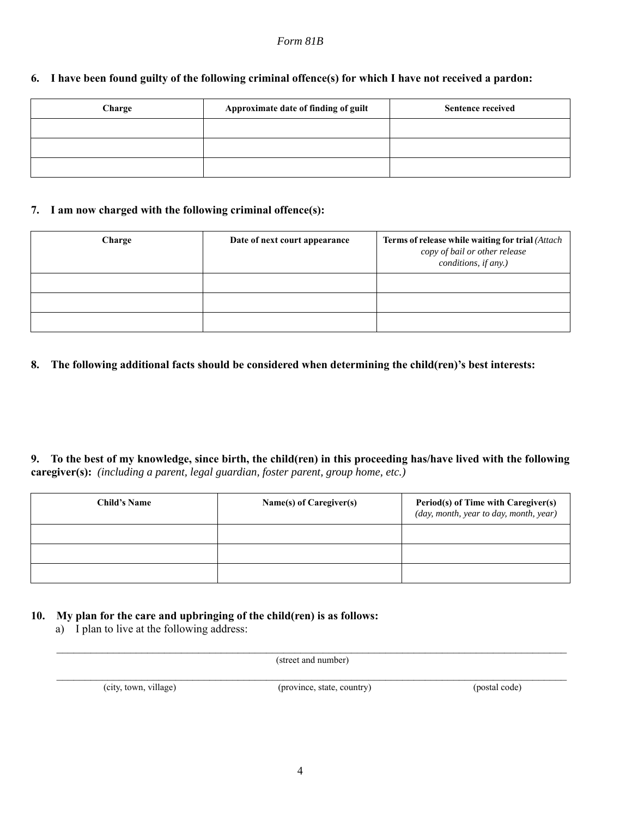| 6. I have been found guilty of the following criminal offence(s) for which I have not received a pardon: |  |  |
|----------------------------------------------------------------------------------------------------------|--|--|
|                                                                                                          |  |  |

| Charge | Approximate date of finding of guilt | <b>Sentence received</b> |
|--------|--------------------------------------|--------------------------|
|        |                                      |                          |
|        |                                      |                          |
|        |                                      |                          |

### **7. I am now charged with the following criminal offence(s):**

| Charge | Date of next court appearance | Terms of release while waiting for trial (Attach<br>copy of bail or other release<br>conditions, if any.) |
|--------|-------------------------------|-----------------------------------------------------------------------------------------------------------|
|        |                               |                                                                                                           |
|        |                               |                                                                                                           |
|        |                               |                                                                                                           |

### **8. The following additional facts should be considered when determining the child(ren)'s best interests:**

**9. To the best of my knowledge, since birth, the child(ren) in this proceeding has/have lived with the following caregiver(s):** *(including a parent, legal guardian, foster parent, group home, etc.)*

| <b>Child's Name</b> | Name(s) of Caregiver(s) | <b>Period(s) of Time with Caregiver(s)</b><br>(day, month, year to day, month, year) |
|---------------------|-------------------------|--------------------------------------------------------------------------------------|
|                     |                         |                                                                                      |
|                     |                         |                                                                                      |
|                     |                         |                                                                                      |

## **10. My plan for the care and upbringing of the child(ren) is as follows:**

a) I plan to live at the following address:

 $\mathcal{L}_\mathcal{L} = \{ \mathcal{L}_\mathcal{L} = \{ \mathcal{L}_\mathcal{L} = \{ \mathcal{L}_\mathcal{L} = \{ \mathcal{L}_\mathcal{L} = \{ \mathcal{L}_\mathcal{L} = \{ \mathcal{L}_\mathcal{L} = \{ \mathcal{L}_\mathcal{L} = \{ \mathcal{L}_\mathcal{L} = \{ \mathcal{L}_\mathcal{L} = \{ \mathcal{L}_\mathcal{L} = \{ \mathcal{L}_\mathcal{L} = \{ \mathcal{L}_\mathcal{L} = \{ \mathcal{L}_\mathcal{L} = \{ \mathcal{L}_\mathcal{$ (street and number)  $\mathcal{L}_\mathcal{L} = \{ \mathcal{L}_\mathcal{L} = \{ \mathcal{L}_\mathcal{L} = \{ \mathcal{L}_\mathcal{L} = \{ \mathcal{L}_\mathcal{L} = \{ \mathcal{L}_\mathcal{L} = \{ \mathcal{L}_\mathcal{L} = \{ \mathcal{L}_\mathcal{L} = \{ \mathcal{L}_\mathcal{L} = \{ \mathcal{L}_\mathcal{L} = \{ \mathcal{L}_\mathcal{L} = \{ \mathcal{L}_\mathcal{L} = \{ \mathcal{L}_\mathcal{L} = \{ \mathcal{L}_\mathcal{L} = \{ \mathcal{L}_\mathcal{$ 

(city, town, village) (province, state, country) (postal code)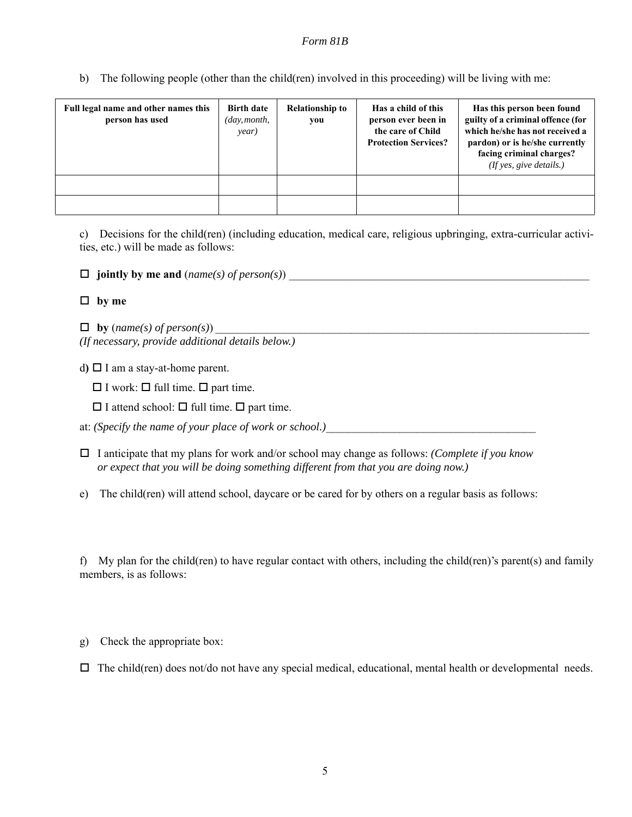b) The following people (other than the child(ren) involved in this proceeding) will be living with me:

| Full legal name and other names this<br>person has used | <b>Birth date</b><br>$\langle day, month,$<br>year) | <b>Relationship to</b><br>you | Has a child of this<br>person ever been in<br>the care of Child<br><b>Protection Services?</b> | Has this person been found<br>guilty of a criminal offence (for<br>which he/she has not received a<br>pardon) or is he/she currently<br>facing criminal charges?<br>(If yes, give details.) |
|---------------------------------------------------------|-----------------------------------------------------|-------------------------------|------------------------------------------------------------------------------------------------|---------------------------------------------------------------------------------------------------------------------------------------------------------------------------------------------|
|                                                         |                                                     |                               |                                                                                                |                                                                                                                                                                                             |
|                                                         |                                                     |                               |                                                                                                |                                                                                                                                                                                             |

c) Decisions for the child(ren) (including education, medical care, religious upbringing, extra-curricular activities, etc.) will be made as follows:

 $\Box$  jointly by me and (*name(s)* of *person(s)*)

### **by me**

 $\Box$  by (*name(s)* of *person(s)*) *(If necessary, provide additional details below.)*

d**)** I am a stay-at-home parent.

 $\Box$  I work:  $\Box$  full time.  $\Box$  part time.

 $\Box$  I attend school:  $\Box$  full time.  $\Box$  part time.

at: *(Specify the name of your place of work or school.)* 

 I anticipate that my plans for work and/or school may change as follows: *(Complete if you know or expect that you will be doing something different from that you are doing now.)*

e) The child(ren) will attend school, daycare or be cared for by others on a regular basis as follows:

f) My plan for the child(ren) to have regular contact with others, including the child(ren)'s parent(s) and family members, is as follows:

g) Check the appropriate box:

 $\Box$  The child(ren) does not/do not have any special medical, educational, mental health or developmental needs.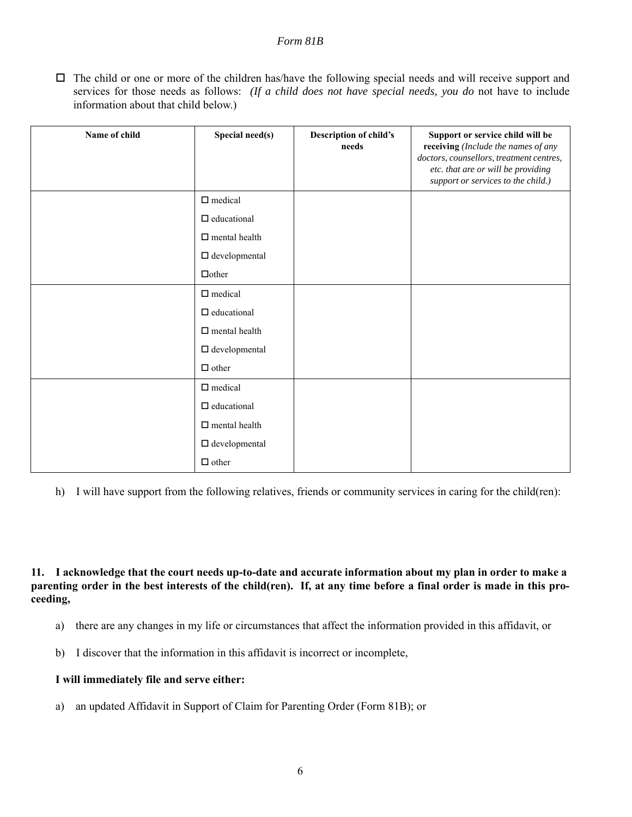$\Box$  The child or one or more of the children has/have the following special needs and will receive support and services for those needs as follows: *(If a child does not have special needs, you do* not have to include information about that child below.)

| Name of child | Special need(s)          | <b>Description of child's</b><br>needs | Support or service child will be<br>receiving (Include the names of any<br>doctors, counsellors, treatment centres,<br>etc. that are or will be providing<br>support or services to the child.) |
|---------------|--------------------------|----------------------------------------|-------------------------------------------------------------------------------------------------------------------------------------------------------------------------------------------------|
|               | $\Box$ medical           |                                        |                                                                                                                                                                                                 |
|               | $\Box$ educational       |                                        |                                                                                                                                                                                                 |
|               | $\Box$ mental health     |                                        |                                                                                                                                                                                                 |
|               | $\Box$ developmental     |                                        |                                                                                                                                                                                                 |
|               | $\Box$ other             |                                        |                                                                                                                                                                                                 |
|               | $\hfill \square$ medical |                                        |                                                                                                                                                                                                 |
|               | $\qedsymbol$ educational |                                        |                                                                                                                                                                                                 |
|               | $\Box$ mental health     |                                        |                                                                                                                                                                                                 |
|               | $\Box$ developmental     |                                        |                                                                                                                                                                                                 |
|               | $\Box$ other             |                                        |                                                                                                                                                                                                 |
|               | $\Box$ medical           |                                        |                                                                                                                                                                                                 |
|               | $\Box$ educational       |                                        |                                                                                                                                                                                                 |
|               | $\Box$ mental health     |                                        |                                                                                                                                                                                                 |
|               | $\Box$ developmental     |                                        |                                                                                                                                                                                                 |
|               | $\Box$ other             |                                        |                                                                                                                                                                                                 |

h) I will have support from the following relatives, friends or community services in caring for the child(ren):

**11. I acknowledge that the court needs up-to-date and accurate information about my plan in order to make a parenting order in the best interests of the child(ren). If, at any time before a final order is made in this proceeding,**

- a) there are any changes in my life or circumstances that affect the information provided in this affidavit, or
- b) I discover that the information in this affidavit is incorrect or incomplete,

#### **I will immediately file and serve either:**

a) an updated Affidavit in Support of Claim for Parenting Order (Form 81B); or